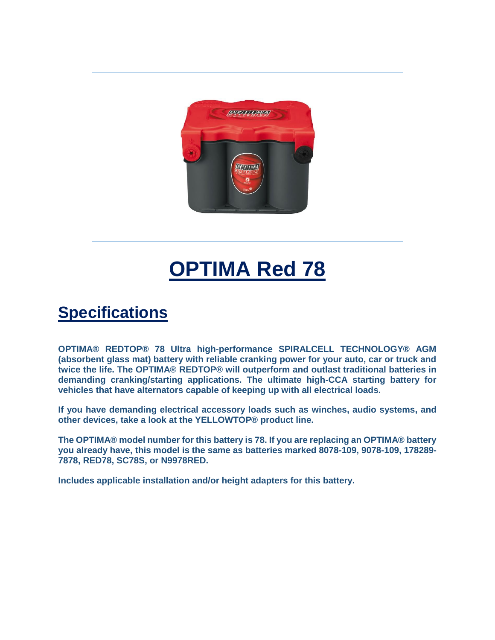

## **OPTIMA Red 78**

## **Specifications**

**OPTIMA® REDTOP® 78 Ultra high-performance SPIRALCELL TECHNOLOGY® AGM (absorbent glass mat) battery with reliable cranking power for your auto, car or truck and twice the life. The OPTIMA® REDTOP® will outperform and outlast traditional batteries in demanding cranking/starting applications. The ultimate high-CCA starting battery for vehicles that have alternators capable of keeping up with all electrical loads.**

**If you have demanding electrical accessory loads such as winches, audio systems, and other devices, take a look at the YELLOWTOP® product line.**

**The OPTIMA® model number for this battery is 78. If you are replacing an OPTIMA® battery you already have, this model is the same as batteries marked 8078-109, 9078-109, 178289- 7878, RED78, SC78S, or N9978RED.**

**Includes applicable installation and/or height adapters for this battery.**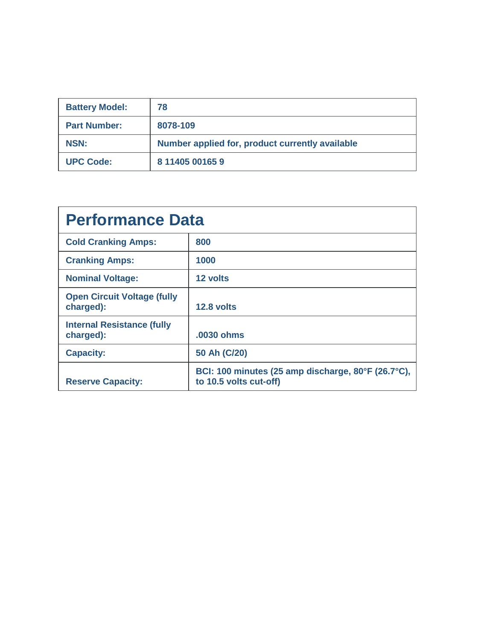| <b>Battery Model:</b> | 78                                              |
|-----------------------|-------------------------------------------------|
| <b>Part Number:</b>   | 8078-109                                        |
| <b>NSN:</b>           | Number applied for, product currently available |
| <b>UPC Code:</b>      | 8 11405 00165 9                                 |

| <b>Performance Data</b>                         |                                                                              |  |
|-------------------------------------------------|------------------------------------------------------------------------------|--|
| <b>Cold Cranking Amps:</b>                      | 800                                                                          |  |
| <b>Cranking Amps:</b>                           | 1000                                                                         |  |
| <b>Nominal Voltage:</b>                         | 12 volts                                                                     |  |
| <b>Open Circuit Voltage (fully</b><br>charged): | 12.8 volts                                                                   |  |
| <b>Internal Resistance (fully</b><br>charged):  | .0030 ohms                                                                   |  |
| <b>Capacity:</b>                                | 50 Ah (C/20)                                                                 |  |
| <b>Reserve Capacity:</b>                        | BCI: 100 minutes (25 amp discharge, 80°F (26.7°C),<br>to 10.5 volts cut-off) |  |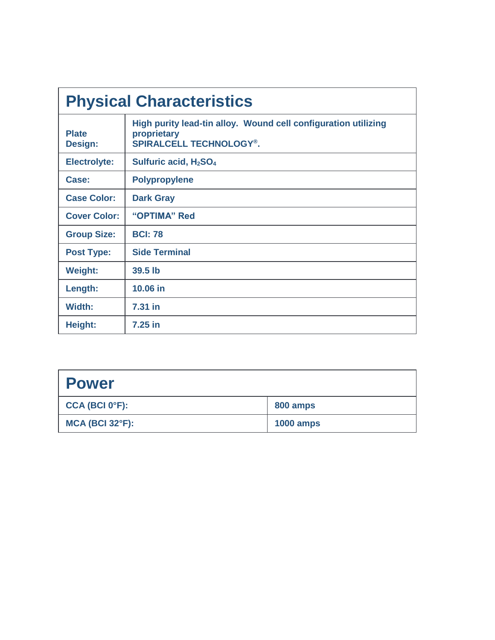| <b>Physical Characteristics</b> |                                                                                                                 |  |
|---------------------------------|-----------------------------------------------------------------------------------------------------------------|--|
| <b>Plate</b><br><b>Design:</b>  | High purity lead-tin alloy. Wound cell configuration utilizing<br>proprietary<br><b>SPIRALCELL TECHNOLOGY®.</b> |  |
| <b>Electrolyte:</b>             | Sulfuric acid, $H_2SO_4$                                                                                        |  |
| Case:                           | <b>Polypropylene</b>                                                                                            |  |
| <b>Case Color:</b>              | <b>Dark Gray</b>                                                                                                |  |
| <b>Cover Color:</b>             | "OPTIMA" Red                                                                                                    |  |
| <b>Group Size:</b>              | <b>BCI: 78</b>                                                                                                  |  |
| <b>Post Type:</b>               | <b>Side Terminal</b>                                                                                            |  |
| <b>Weight:</b>                  | 39.5 lb                                                                                                         |  |
| Length:                         | 10.06 in                                                                                                        |  |
| Width:                          | 7.31 in                                                                                                         |  |
| Height:                         | $7.25$ in                                                                                                       |  |

| <b>Power</b>                |                  |
|-----------------------------|------------------|
| $CCA$ (BCI 0°F):            | 800 amps         |
| $MCA$ (BCI 32 $\degree$ F): | <b>1000 amps</b> |